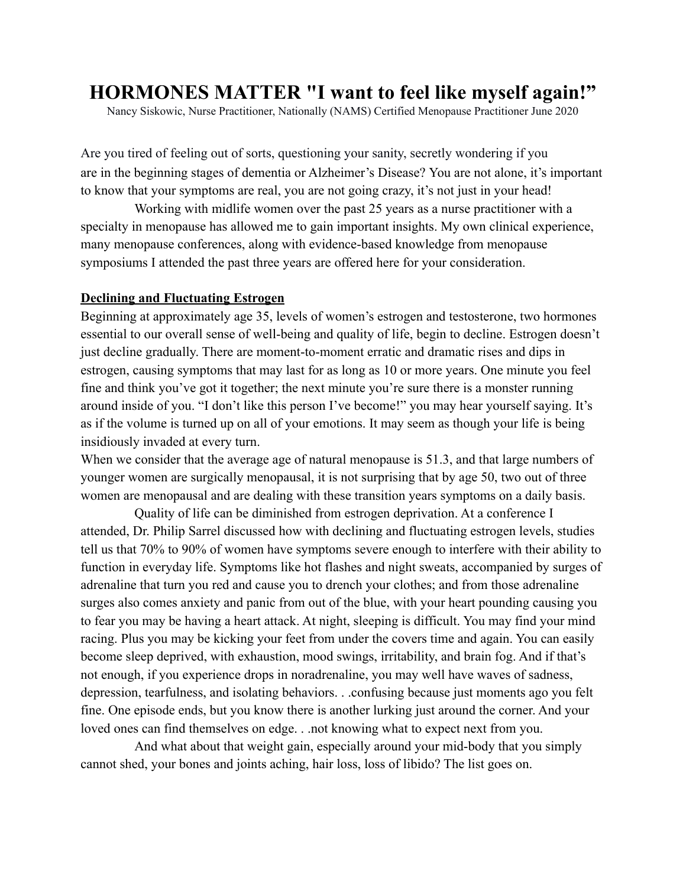# **HORMONES MATTER "I want to feel like myself again!"**

Nancy Siskowic, Nurse Practitioner, Nationally (NAMS) Certified Menopause Practitioner June 2020

Are you tired of feeling out of sorts, questioning your sanity, secretly wondering if you are in the beginning stages of dementia or Alzheimer's Disease? You are not alone, it's important to know that your symptoms are real, you are not going crazy, it's not just in your head!

Working with midlife women over the past 25 years as a nurse practitioner with a specialty in menopause has allowed me to gain important insights. My own clinical experience, many menopause conferences, along with evidence-based knowledge from menopause symposiums I attended the past three years are offered here for your consideration.

#### **Declining and Fluctuating Estrogen**

Beginning at approximately age 35, levels of women's estrogen and testosterone, two hormones essential to our overall sense of well-being and quality of life, begin to decline. Estrogen doesn't just decline gradually. There are moment-to-moment erratic and dramatic rises and dips in estrogen, causing symptoms that may last for as long as 10 or more years. One minute you feel fine and think you've got it together; the next minute you're sure there is a monster running around inside of you. "I don't like this person I've become!" you may hear yourself saying. It's as if the volume is turned up on all of your emotions. It may seem as though your life is being insidiously invaded at every turn.

When we consider that the average age of natural menopause is 51.3, and that large numbers of younger women are surgically menopausal, it is not surprising that by age 50, two out of three women are menopausal and are dealing with these transition years symptoms on a daily basis.

Quality of life can be diminished from estrogen deprivation. At a conference I attended, Dr. Philip Sarrel discussed how with declining and fluctuating estrogen levels, studies tell us that 70% to 90% of women have symptoms severe enough to interfere with their ability to function in everyday life. Symptoms like hot flashes and night sweats, accompanied by surges of adrenaline that turn you red and cause you to drench your clothes; and from those adrenaline surges also comes anxiety and panic from out of the blue, with your heart pounding causing you to fear you may be having a heart attack. At night, sleeping is difficult. You may find your mind racing. Plus you may be kicking your feet from under the covers time and again. You can easily become sleep deprived, with exhaustion, mood swings, irritability, and brain fog. And if that's not enough, if you experience drops in noradrenaline, you may well have waves of sadness, depression, tearfulness, and isolating behaviors. . .confusing because just moments ago you felt fine. One episode ends, but you know there is another lurking just around the corner. And your loved ones can find themselves on edge. . .not knowing what to expect next from you.

And what about that weight gain, especially around your mid-body that you simply cannot shed, your bones and joints aching, hair loss, loss of libido? The list goes on.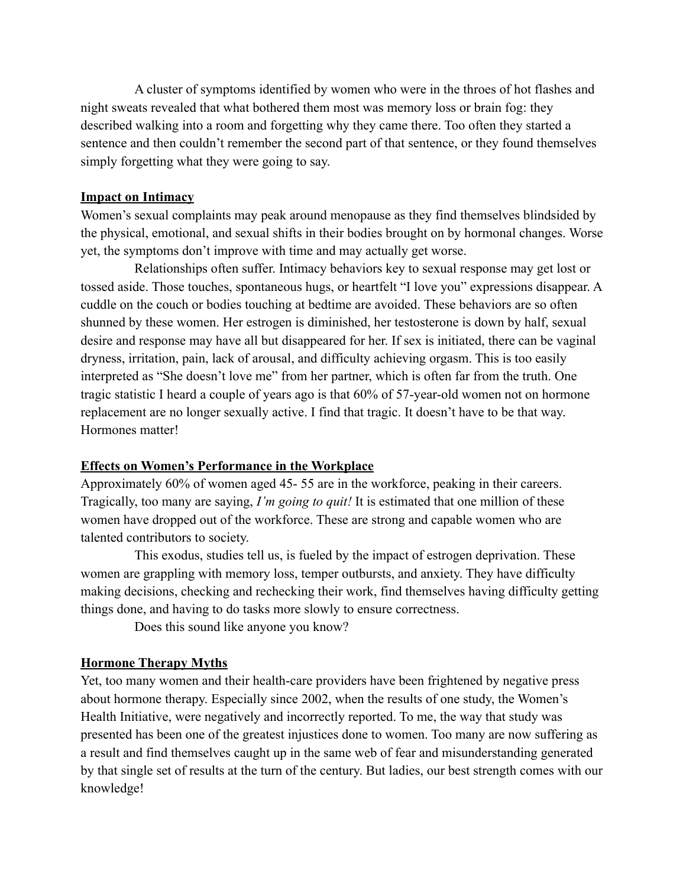A cluster of symptoms identified by women who were in the throes of hot flashes and night sweats revealed that what bothered them most was memory loss or brain fog: they described walking into a room and forgetting why they came there. Too often they started a sentence and then couldn't remember the second part of that sentence, or they found themselves simply forgetting what they were going to say.

## **Impact on Intimacy**

Women's sexual complaints may peak around menopause as they find themselves blindsided by the physical, emotional, and sexual shifts in their bodies brought on by hormonal changes. Worse yet, the symptoms don't improve with time and may actually get worse.

Relationships often suffer. Intimacy behaviors key to sexual response may get lost or tossed aside. Those touches, spontaneous hugs, or heartfelt "I love you" expressions disappear. A cuddle on the couch or bodies touching at bedtime are avoided. These behaviors are so often shunned by these women. Her estrogen is diminished, her testosterone is down by half, sexual desire and response may have all but disappeared for her. If sex is initiated, there can be vaginal dryness, irritation, pain, lack of arousal, and difficulty achieving orgasm. This is too easily interpreted as "She doesn't love me" from her partner, which is often far from the truth. One tragic statistic I heard a couple of years ago is that 60% of 57-year-old women not on hormone replacement are no longer sexually active. I find that tragic. It doesn't have to be that way. Hormones matter!

## **Effects on Women's Performance in the Workplace**

Approximately 60% of women aged 45- 55 are in the workforce, peaking in their careers. Tragically, too many are saying, *I'm going to quit!* It is estimated that one million of these women have dropped out of the workforce. These are strong and capable women who are talented contributors to society.

This exodus, studies tell us, is fueled by the impact of estrogen deprivation. These women are grappling with memory loss, temper outbursts, and anxiety. They have difficulty making decisions, checking and rechecking their work, find themselves having difficulty getting things done, and having to do tasks more slowly to ensure correctness.

Does this sound like anyone you know?

## **Hormone Therapy Myths**

Yet, too many women and their health-care providers have been frightened by negative press about hormone therapy. Especially since 2002, when the results of one study, the Women's Health Initiative, were negatively and incorrectly reported. To me, the way that study was presented has been one of the greatest injustices done to women. Too many are now suffering as a result and find themselves caught up in the same web of fear and misunderstanding generated by that single set of results at the turn of the century. But ladies, our best strength comes with our knowledge!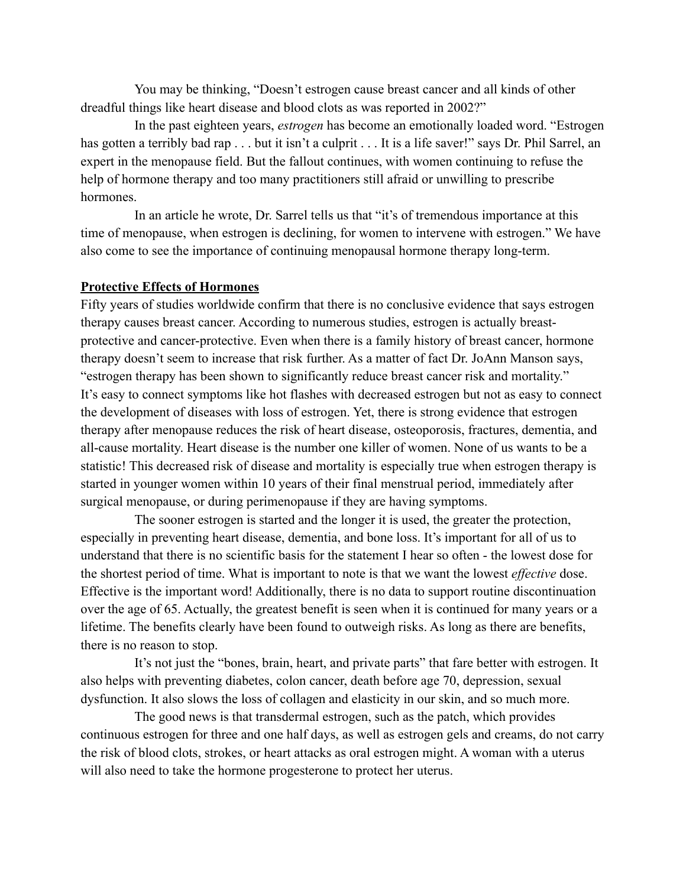You may be thinking, "Doesn't estrogen cause breast cancer and all kinds of other dreadful things like heart disease and blood clots as was reported in 2002?"

In the past eighteen years, *estrogen* has become an emotionally loaded word. "Estrogen has gotten a terribly bad rap . . . but it isn't a culprit . . . It is a life saver!" says Dr. Phil Sarrel, an expert in the menopause field. But the fallout continues, with women continuing to refuse the help of hormone therapy and too many practitioners still afraid or unwilling to prescribe hormones.

In an article he wrote, Dr. Sarrel tells us that "it's of tremendous importance at this time of menopause, when estrogen is declining, for women to intervene with estrogen." We have also come to see the importance of continuing menopausal hormone therapy long-term.

#### **Protective Effects of Hormones**

Fifty years of studies worldwide confirm that there is no conclusive evidence that says estrogen therapy causes breast cancer. According to numerous studies, estrogen is actually breastprotective and cancer-protective. Even when there is a family history of breast cancer, hormone therapy doesn't seem to increase that risk further. As a matter of fact Dr. JoAnn Manson says, "estrogen therapy has been shown to significantly reduce breast cancer risk and mortality." It's easy to connect symptoms like hot flashes with decreased estrogen but not as easy to connect the development of diseases with loss of estrogen. Yet, there is strong evidence that estrogen therapy after menopause reduces the risk of heart disease, osteoporosis, fractures, dementia, and all-cause mortality. Heart disease is the number one killer of women. None of us wants to be a statistic! This decreased risk of disease and mortality is especially true when estrogen therapy is started in younger women within 10 years of their final menstrual period, immediately after surgical menopause, or during perimenopause if they are having symptoms.

The sooner estrogen is started and the longer it is used, the greater the protection, especially in preventing heart disease, dementia, and bone loss. It's important for all of us to understand that there is no scientific basis for the statement I hear so often - the lowest dose for the shortest period of time. What is important to note is that we want the lowest *effective* dose. Effective is the important word! Additionally, there is no data to support routine discontinuation over the age of 65. Actually, the greatest benefit is seen when it is continued for many years or a lifetime. The benefits clearly have been found to outweigh risks. As long as there are benefits, there is no reason to stop.

It's not just the "bones, brain, heart, and private parts" that fare better with estrogen. It also helps with preventing diabetes, colon cancer, death before age 70, depression, sexual dysfunction. It also slows the loss of collagen and elasticity in our skin, and so much more.

The good news is that transdermal estrogen, such as the patch, which provides continuous estrogen for three and one half days, as well as estrogen gels and creams, do not carry the risk of blood clots, strokes, or heart attacks as oral estrogen might. A woman with a uterus will also need to take the hormone progesterone to protect her uterus.